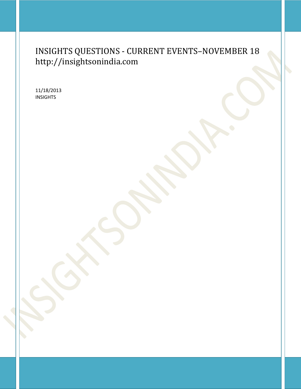# INSIGHTS QUESTIONS - CURRENT EVENTS–NOVEMBER 18 http://insightsonindia.com

11/18/2013 INSIGHTS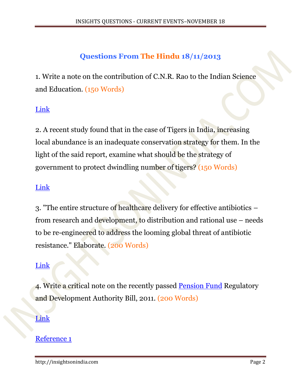# **Questions From The Hindu 18/11/2013**

1. Write a note on the contribution of C.N.R. Rao to the Indian Science and Education. (150 Words)

# [Link](http://www.thehindu.com/todays-paper/funding-for-science-grossly-inadequate-says-cnr-rao/article5362496.ece)

2. A recent study found that in the case of Tigers in India, increasing local abundance is an inadequate conservation strategy for them. In the light of the said report, examine what should be the strategy of government to protect dwindling number of tigers? (150 Words)

## [Link](http://www.thehindu.com/todays-paper/tp-national/human-intervention-hinders-tiger-connectivity/article5362466.ece)

3. "The entire structure of healthcare delivery for effective antibiotics – from research and development, to distribution and rational use – needs to be re-engineered to address the looming global threat of antibiotic resistance." Elaborate. (200 Words)

# [Link](http://www.thehindu.com/todays-paper/tp-national/reengineer-healthcare-to-tackle-antibiotic-resistance/article5362532.ece)

4. Write a critical note on the recently passed [Pension Fund](http://www.business-standard.com/search?type=news&q=Pension+Fund) Regulatory and Development Authority Bill, 2011. (200 Words)

#### [Link](http://www.thehindu.com/todays-paper/tp-national/epfo-to-pay-at-least-85-interest-on-pf-deposits/article5362531.ece)

#### [Reference 1](http://www.thehindu.com/news/national/parliament-passes-key-pension-bill-after-10year-delay/article5100899.ece)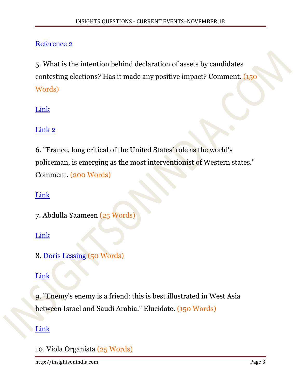# [Reference 2](http://www.business-standard.com/article/pf/10-things-you-wanted-to-know-about-the-new-pension-bill-113090400910_1.html)

5. What is the intention behind declaration of assets by candidates contesting elections? Has it made any positive impact? Comment. (150 Words)

# [Link](http://www.thehindu.com/todays-paper/tp-national/huge-increase-in-assets-of-candidates/article5362964.ece)

# [Link 2](http://www.thehindu.com/todays-paper/tp-national/motherdaughter-duo-declares-assets-worth-rs-2959-crore/article5362957.ece)

6. "France, long critical of the United States' role as the world's policeman, is emerging as the most interventionist of Western states." Comment. (200 Words)

## [Link](http://www.thehindu.com/todays-paper/tp-international/from-africa-to-west-asia-frances-new-hawkishness/article5362952.ece)

7. Abdulla Yaameen (25 Words)

## [Link](http://www.thehindu.com/todays-paper/tp-international/yaameen-sworn-in-as-president/article5362490.ece)

8. [Doris Lessing](http://www.dorislessing.org/) (50 Words)

# [Link](http://www.thehindu.com/todays-paper/tp-international/nobel-winning-author-doris-lessing-dead/article5362488.ece)

9. "Enemy's enemy is a friend: this is best illustrated in West Asia between Israel and Saudi Arabia." Elucidate. (150 Words)

## [Link](http://www.thehindu.com/todays-paper/tp-international/israel-saudi-cooperating-on-military-option-against-iran/article5362486.ece)

10. Viola Organista (25 Words)